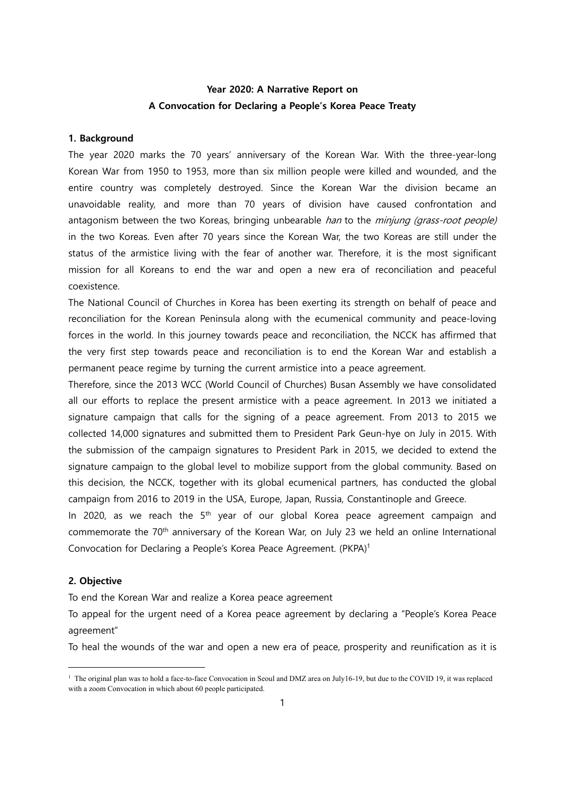# **Year 2020: A Narrative Report on A Convocation for Declaring a People's Korea Peace Treaty**

#### **1. Background**

The year 2020 marks the 70 years' anniversary of the Korean War. With the three-year-long Korean War from 1950 to 1953, more than six million people were killed and wounded, and the entire country was completely destroyed. Since the Korean War the division became an unavoidable reality, and more than 70 years of division have caused confrontation and antagonism between the two Koreas, bringing unbearable han to the minjung (grass-root people) in the two Koreas. Even after 70 years since the Korean War, the two Koreas are still under the status of the armistice living with the fear of another war. Therefore, it is the most significant mission for all Koreans to end the war and open a new era of reconciliation and peaceful coexistence.

The National Council of Churches in Korea has been exerting its strength on behalf of peace and reconciliation for the Korean Peninsula along with the ecumenical community and peace-loving forces in the world. In this journey towards peace and reconciliation, the NCCK has affirmed that the very first step towards peace and reconciliation is to end the Korean War and establish a permanent peace regime by turning the current armistice into a peace agreement.

Therefore, since the 2013 WCC (World Council of Churches) Busan Assembly we have consolidated all our efforts to replace the present armistice with a peace agreement. In 2013 we initiated a signature campaign that calls for the signing of a peace agreement. From 2013 to 2015 we collected 14,000 signatures and submitted them to President Park Geun-hye on July in 2015. With the submission of the campaign signatures to President Park in 2015, we decided to extend the signature campaign to the global level to mobilize support from the global community. Based on this decision, the NCCK, together with its global ecumenical partners, has conducted the global campaign from 2016 to 2019 in the USA, Europe, Japan, Russia, Constantinople and Greece.

In 2020, as we reach the  $5<sup>th</sup>$  year of our global Korea peace agreement campaign and commemorate the 70<sup>th</sup> anniversary of the Korean War, on July 23 we held an online International Convocation for Declaring a People's Korea Peace Agreement. (PKPA)1

### **2. Objective**

To end the Korean War and realize a Korea peace agreement

To appeal for the urgent need of a Korea peace agreement by declaring a "People's Korea Peace agreement"

To heal the wounds of the war and open a new era of peace, prosperity and reunification as it is

<sup>&</sup>lt;sup>1</sup> The original plan was to hold a face-to-face Convocation in Seoul and DMZ area on July16-19, but due to the COVID 19, it was replaced with a zoom Convocation in which about 60 people participated.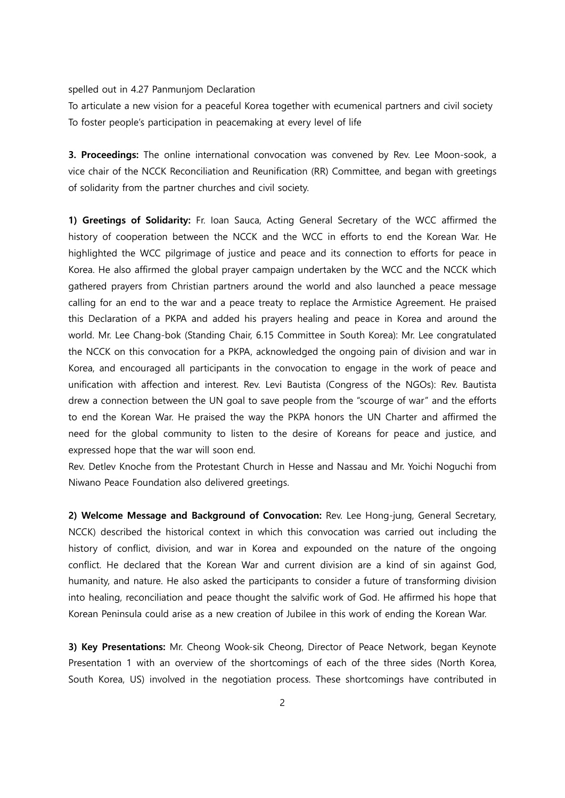spelled out in 4.27 Panmunjom Declaration

To articulate a new vision for a peaceful Korea together with ecumenical partners and civil society To foster people's participation in peacemaking at every level of life

**3. Proceedings:** The online international convocation was convened by Rev. Lee Moon-sook, a vice chair of the NCCK Reconciliation and Reunification (RR) Committee, and began with greetings of solidarity from the partner churches and civil society.

**1) Greetings of Solidarity:** Fr. Ioan Sauca, Acting General Secretary of the WCC affirmed the history of cooperation between the NCCK and the WCC in efforts to end the Korean War. He highlighted the WCC pilgrimage of justice and peace and its connection to efforts for peace in Korea. He also affirmed the global prayer campaign undertaken by the WCC and the NCCK which gathered prayers from Christian partners around the world and also launched a peace message calling for an end to the war and a peace treaty to replace the Armistice Agreement. He praised this Declaration of a PKPA and added his prayers healing and peace in Korea and around the world. Mr. Lee Chang-bok (Standing Chair, 6.15 Committee in South Korea): Mr. Lee congratulated the NCCK on this convocation for a PKPA, acknowledged the ongoing pain of division and war in Korea, and encouraged all participants in the convocation to engage in the work of peace and unification with affection and interest. Rev. Levi Bautista (Congress of the NGOs): Rev. Bautista drew a connection between the UN goal to save people from the "scourge of war" and the efforts to end the Korean War. He praised the way the PKPA honors the UN Charter and affirmed the need for the global community to listen to the desire of Koreans for peace and justice, and expressed hope that the war will soon end.

Rev. Detlev Knoche from the Protestant Church in Hesse and Nassau and Mr. Yoichi Noguchi from Niwano Peace Foundation also delivered greetings.

**2) Welcome Message and Background of Convocation:** Rev. Lee Hong-jung, General Secretary, NCCK) described the historical context in which this convocation was carried out including the history of conflict, division, and war in Korea and expounded on the nature of the ongoing conflict. He declared that the Korean War and current division are a kind of sin against God, humanity, and nature. He also asked the participants to consider a future of transforming division into healing, reconciliation and peace thought the salvific work of God. He affirmed his hope that Korean Peninsula could arise as a new creation of Jubilee in this work of ending the Korean War.

**3) Key Presentations:** Mr. Cheong Wook-sik Cheong, Director of Peace Network, began Keynote Presentation 1 with an overview of the shortcomings of each of the three sides (North Korea, South Korea, US) involved in the negotiation process. These shortcomings have contributed in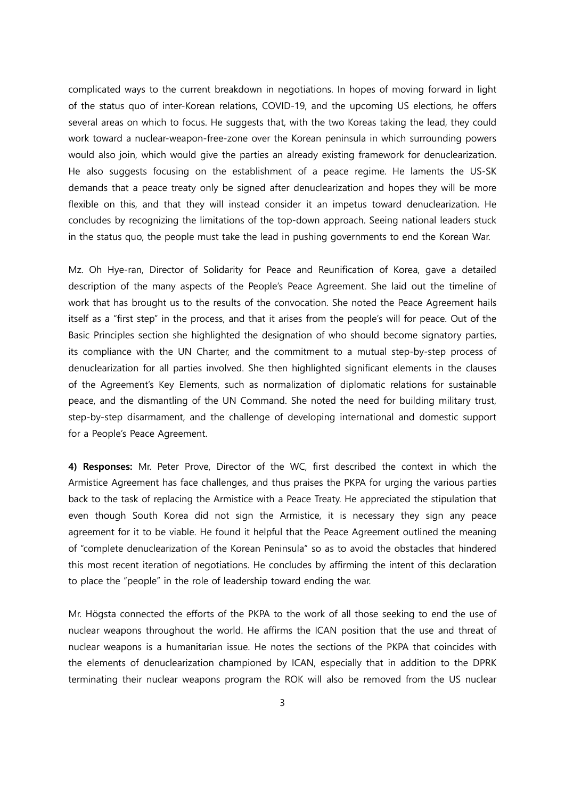complicated ways to the current breakdown in negotiations. In hopes of moving forward in light of the status quo of inter-Korean relations, COVID-19, and the upcoming US elections, he offers several areas on which to focus. He suggests that, with the two Koreas taking the lead, they could work toward a nuclear-weapon-free-zone over the Korean peninsula in which surrounding powers would also join, which would give the parties an already existing framework for denuclearization. He also suggests focusing on the establishment of a peace regime. He laments the US-SK demands that a peace treaty only be signed after denuclearization and hopes they will be more flexible on this, and that they will instead consider it an impetus toward denuclearization. He concludes by recognizing the limitations of the top-down approach. Seeing national leaders stuck in the status quo, the people must take the lead in pushing governments to end the Korean War.

Mz. Oh Hye-ran, Director of Solidarity for Peace and Reunification of Korea, gave a detailed description of the many aspects of the People's Peace Agreement. She laid out the timeline of work that has brought us to the results of the convocation. She noted the Peace Agreement hails itself as a "first step" in the process, and that it arises from the people's will for peace. Out of the Basic Principles section she highlighted the designation of who should become signatory parties, its compliance with the UN Charter, and the commitment to a mutual step-by-step process of denuclearization for all parties involved. She then highlighted significant elements in the clauses of the Agreement's Key Elements, such as normalization of diplomatic relations for sustainable peace, and the dismantling of the UN Command. She noted the need for building military trust, step-by-step disarmament, and the challenge of developing international and domestic support for a People's Peace Agreement.

**4) Responses:** Mr. Peter Prove, Director of the WC, first described the context in which the Armistice Agreement has face challenges, and thus praises the PKPA for urging the various parties back to the task of replacing the Armistice with a Peace Treaty. He appreciated the stipulation that even though South Korea did not sign the Armistice, it is necessary they sign any peace agreement for it to be viable. He found it helpful that the Peace Agreement outlined the meaning of "complete denuclearization of the Korean Peninsula" so as to avoid the obstacles that hindered this most recent iteration of negotiations. He concludes by affirming the intent of this declaration to place the "people" in the role of leadership toward ending the war.

Mr. Högsta connected the efforts of the PKPA to the work of all those seeking to end the use of nuclear weapons throughout the world. He affirms the ICAN position that the use and threat of nuclear weapons is a humanitarian issue. He notes the sections of the PKPA that coincides with the elements of denuclearization championed by ICAN, especially that in addition to the DPRK terminating their nuclear weapons program the ROK will also be removed from the US nuclear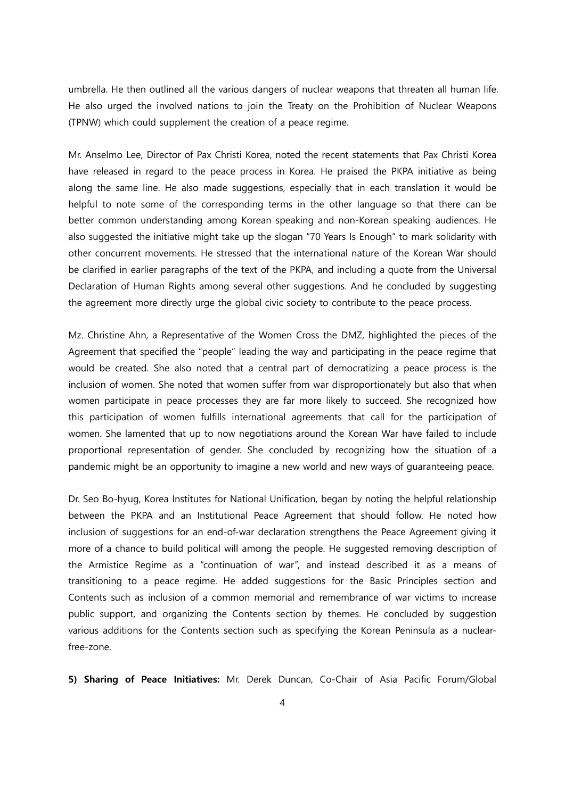umbrella. He then outlined all the various dangers of nuclear weapons that threaten all human life. He also urged the involved nations to join the Treaty on the Prohibition of Nuclear Weapons (TPNW) which could supplement the creation of a peace regime.

Mr. Anselmo Lee, Director of Pax Christi Korea, noted the recent statements that Pax Christi Korea have released in regard to the peace process in Korea. He praised the PKPA initiative as being along the same line. He also made suggestions, especially that in each translation it would be helpful to note some of the corresponding terms in the other language so that there can be better common understanding among Korean speaking and non-Korean speaking audiences. He also suggested the initiative might take up the slogan "70 Years Is Enough" to mark solidarity with other concurrent movements. He stressed that the international nature of the Korean War should be clarified in earlier paragraphs of the text of the PKPA, and including a quote from the Universal Declaration of Human Rights among several other suggestions. And he concluded by suggesting the agreement more directly urge the global civic society to contribute to the peace process.

Mz. Christine Ahn, a Representative of the Women Cross the DMZ, highlighted the pieces of the Agreement that specified the "people" leading the way and participating in the peace regime that would be created. She also noted that a central part of democratizing a peace process is the inclusion of women. She noted that women suffer from war disproportionately but also that when women participate in peace processes they are far more likely to succeed. She recognized how this participation of women fulfills international agreements that call for the participation of women. She lamented that up to now negotiations around the Korean War have failed to include proportional representation of gender. She concluded by recognizing how the situation of a pandemic might be an opportunity to imagine a new world and new ways of guaranteeing peace.

Dr. Seo Bo-hyug, Korea Institutes for National Unification, began by noting the helpful relationship between the PKPA and an Institutional Peace Agreement that should follow. He noted how inclusion of suggestions for an end-of-war declaration strengthens the Peace Agreement giving it more of a chance to build political will among the people. He suggested removing description of the Armistice Regime as a "continuation of war", and instead described it as a means of transitioning to a peace regime. He added suggestions for the Basic Principles section and Contents such as inclusion of a common memorial and remembrance of war victims to increase public support, and organizing the Contents section by themes. He concluded by suggestion various additions for the Contents section such as specifying the Korean Peninsula as a nuclearfree-zone.

**5) Sharing of Peace Initiatives:** Mr. Derek Duncan, Co-Chair of Asia Pacific Forum/Global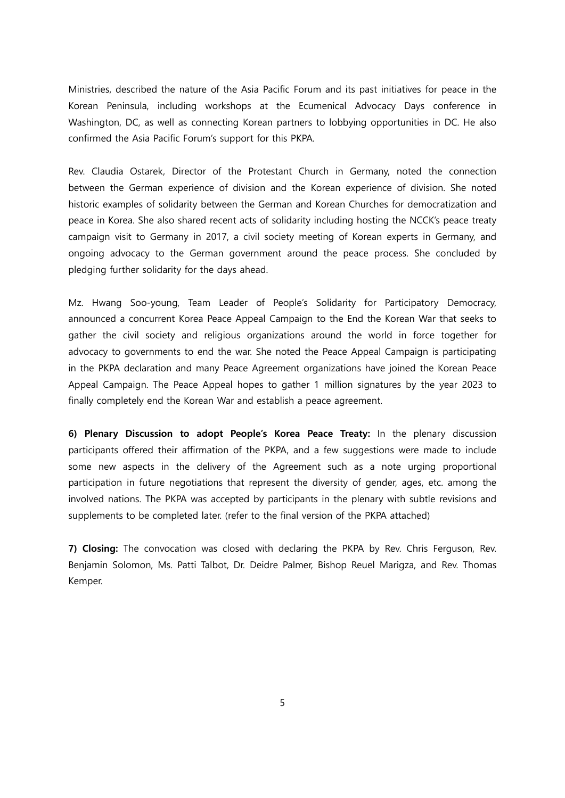Ministries, described the nature of the Asia Pacific Forum and its past initiatives for peace in the Korean Peninsula, including workshops at the Ecumenical Advocacy Days conference in Washington, DC, as well as connecting Korean partners to lobbying opportunities in DC. He also confirmed the Asia Pacific Forum's support for this PKPA.

Rev. Claudia Ostarek, Director of the Protestant Church in Germany, noted the connection between the German experience of division and the Korean experience of division. She noted historic examples of solidarity between the German and Korean Churches for democratization and peace in Korea. She also shared recent acts of solidarity including hosting the NCCK's peace treaty campaign visit to Germany in 2017, a civil society meeting of Korean experts in Germany, and ongoing advocacy to the German government around the peace process. She concluded by pledging further solidarity for the days ahead.

Mz. Hwang Soo-young, Team Leader of People's Solidarity for Participatory Democracy, announced a concurrent Korea Peace Appeal Campaign to the End the Korean War that seeks to gather the civil society and religious organizations around the world in force together for advocacy to governments to end the war. She noted the Peace Appeal Campaign is participating in the PKPA declaration and many Peace Agreement organizations have joined the Korean Peace Appeal Campaign. The Peace Appeal hopes to gather 1 million signatures by the year 2023 to finally completely end the Korean War and establish a peace agreement.

**6) Plenary Discussion to adopt People's Korea Peace Treaty:** In the plenary discussion participants offered their affirmation of the PKPA, and a few suggestions were made to include some new aspects in the delivery of the Agreement such as a note urging proportional participation in future negotiations that represent the diversity of gender, ages, etc. among the involved nations. The PKPA was accepted by participants in the plenary with subtle revisions and supplements to be completed later. (refer to the final version of the PKPA attached)

**7) Closing:** The convocation was closed with declaring the PKPA by Rev. Chris Ferguson, Rev. Benjamin Solomon, Ms. Patti Talbot, Dr. Deidre Palmer, Bishop Reuel Marigza, and Rev. Thomas Kemper.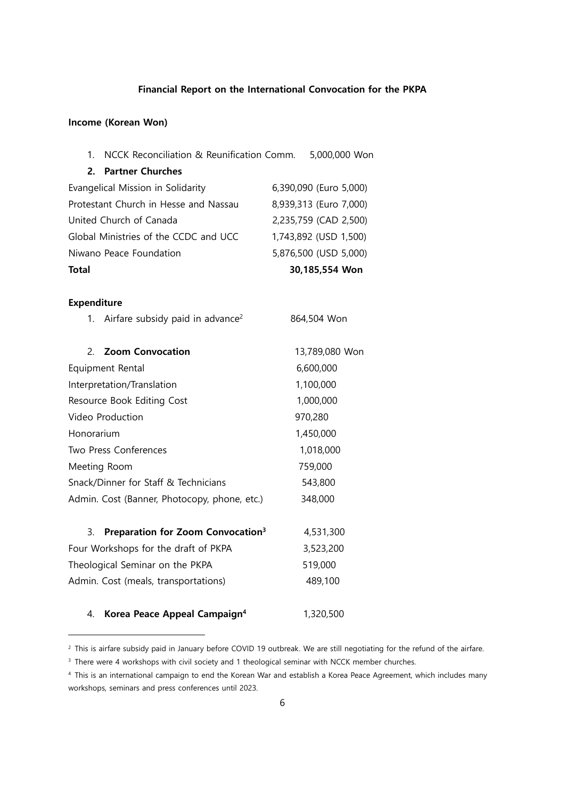### **Financial Report on the International Convocation for the PKPA**

### **Income (Korean Won)**

| 1. NCCK Reconciliation & Reunification Comm. | 5,000,000 Won          |
|----------------------------------------------|------------------------|
| 2. Partner Churches                          |                        |
| Evangelical Mission in Solidarity            | 6,390,090 (Euro 5,000) |
| Protestant Church in Hesse and Nassau        | 8,939,313 (Euro 7,000) |

| <b>Total</b>                          | 30,185,554 Won        |
|---------------------------------------|-----------------------|
| Niwano Peace Foundation               | 5,876,500 (USD 5,000) |
| Global Ministries of the CCDC and UCC | 1,743,892 (USD 1,500) |
| United Church of Canada               | 2,235,759 (CAD 2,500) |

### **Expenditure**

| Airfare subsidy paid in advance <sup>2</sup><br>1. | 864,504 Won    |
|----------------------------------------------------|----------------|
| 2. Zoom Convocation                                | 13,789,080 Won |
| Equipment Rental                                   | 6,600,000      |
| Interpretation/Translation                         | 1,100,000      |
| Resource Book Editing Cost                         | 1,000,000      |
| Video Production                                   | 970,280        |
| Honorarium                                         | 1,450,000      |
| Two Press Conferences                              | 1,018,000      |
| Meeting Room                                       | 759,000        |
| Snack/Dinner for Staff & Technicians               | 543,800        |
| Admin. Cost (Banner, Photocopy, phone, etc.)       | 348,000        |

| 3. Preparation for Zoom Convocation <sup>3</sup> | 4,531,300 |
|--------------------------------------------------|-----------|
| Four Workshops for the draft of PKPA             | 3,523,200 |
| Theological Seminar on the PKPA                  | 519,000   |
| Admin. Cost (meals, transportations)             | 489,100   |
|                                                  |           |
|                                                  |           |

## 4. **Korea Peace Appeal Campaign4** 1,320,500

<sup>&</sup>lt;sup>2</sup> This is airfare subsidy paid in January before COVID 19 outbreak. We are still negotiating for the refund of the airfare.

<sup>&</sup>lt;sup>3</sup> There were 4 workshops with civil society and 1 theological seminar with NCCK member churches.

<sup>4</sup> This is an international campaign to end the Korean War and establish a Korea Peace Agreement, which includes many workshops, seminars and press conferences until 2023.